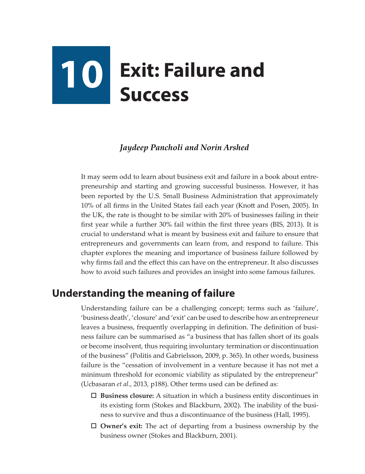# **10 Exit: Failure and Success**

#### *Jaydeep Pancholi and Norin Arshed*

It may seem odd to learn about business exit and failure in a book about entrepreneurship and starting and growing successful businesss. However, it has been reported by the U.S. Small Business Administration that approximately 10% of all firms in the United States fail each year (Knott and Posen, 2005). In the UK, the rate is thought to be similar with 20% of businesses failing in their first year while a further 30% fail within the first three years (BIS, 2013). It is crucial to understand what is meant by business exit and failure to ensure that entrepreneurs and governments can learn from, and respond to failure. This chapter explores the meaning and importance of business failure followed by why firms fail and the effect this can have on the entrepreneur. It also discusses how to avoid such failures and provides an insight into some famous failures.

# **Understanding the meaning of failure**

Understanding failure can be a challenging concept; terms such as 'failure', 'business death', 'closure' and 'exit' can be used to describe how an entrepreneur leaves a business, frequently overlapping in definition. The definition of business failure can be summarised as "a business that has fallen short of its goals or become insolvent, thus requiring involuntary termination or discontinuation of the business" (Politis and Gabrielsson, 2009, p. 365). In other words, business failure is the "cessation of involvement in a venture because it has not met a minimum threshold for economic viability as stipulated by the entrepreneur" (Ucbasaran *et al.*, 2013, p188). Other terms used can be defined as:

- **Business closure:** A situation in which a business entity discontinues in its existing form (Stokes and Blackburn, 2002). The inability of the business to survive and thus a discontinuance of the business (Hall, 1995).
- **Owner's exit:** The act of departing from a business ownership by the business owner (Stokes and Blackburn, 2001).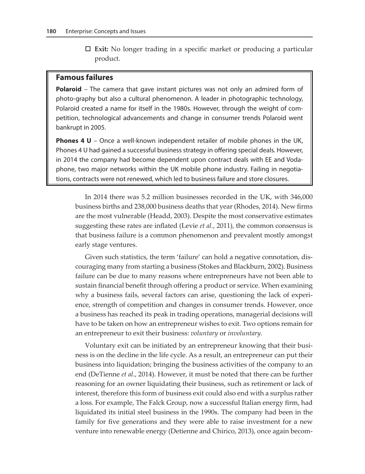**Exit:** No longer trading in a specific market or producing a particular product.

#### **Famous failures**

**Polaroid** – The camera that gave instant pictures was not only an admired form of photo-graphy but also a cultural phenomenon. A leader in photographic technology, Polaroid created a name for itself in the 1980s. However, through the weight of competition, technological advancements and change in consumer trends Polaroid went bankrupt in 2005.

**Phones 4 U** – Once a well-known independent retailer of mobile phones in the UK, Phones 4 U had gained a successful business strategy in offering special deals. However, in 2014 the company had become dependent upon contract deals with EE and Vodaphone, two major networks within the UK mobile phone industry. Failing in negotiations, contracts were not renewed, which led to business failure and store closures.

In 2014 there was 5.2 million businesses recorded in the UK, with 346,000 business births and 238,000 business deaths that year (Rhodes, 2014). New firms are the most vulnerable (Headd, 2003). Despite the most conservative estimates suggesting these rates are inflated (Levie *et al.*, 2011), the common consensus is that business failure is a common phenomenon and prevalent mostly amongst early stage ventures.

Given such statistics, the term 'failure' can hold a negative connotation, discouraging many from starting a business (Stokes and Blackburn, 2002). Business failure can be due to many reasons where entrepreneurs have not been able to sustain financial benefit through offering a product or service. When examining why a business fails, several factors can arise, questioning the lack of experience, strength of competition and changes in consumer trends. However, once a business has reached its peak in trading operations, managerial decisions will have to be taken on how an entrepreneur wishes to exit. Two options remain for an entrepreneur to exit their business: *voluntary* or *involuntary.* 

Voluntary exit can be initiated by an entrepreneur knowing that their business is on the decline in the life cycle. As a result, an entrepreneur can put their business into liquidation; bringing the business activities of the company to an end (DeTienne *et al.*, 2014). However, it must be noted that there can be further reasoning for an owner liquidating their business, such as retirement or lack of interest, therefore this form of business exit could also end with a surplus rather a loss. For example, The Falck Group, now a successful Italian energy firm, had liquidated its initial steel business in the 1990s. The company had been in the family for five generations and they were able to raise investment for a new venture into renewable energy (Detienne and Chirico, 2013), once again becom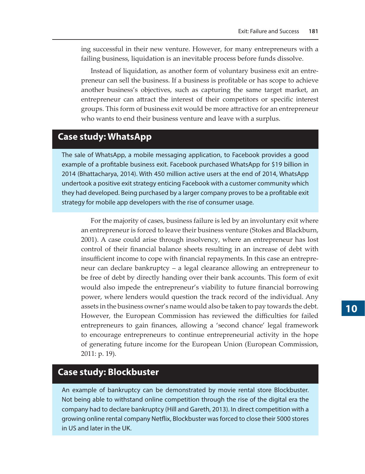ing successful in their new venture. However, for many entrepreneurs with a failing business, liquidation is an inevitable process before funds dissolve.

Instead of liquidation, as another form of voluntary business exit an entrepreneur can sell the business. If a business is profitable or has scope to achieve another business's objectives, such as capturing the same target market, an entrepreneur can attract the interest of their competitors or specific interest groups. This form of business exit would be more attractive for an entrepreneur who wants to end their business venture and leave with a surplus.

### **Case study: WhatsApp**

The sale of WhatsApp, a mobile messaging application, to Facebook provides a good example of a profitable business exit. Facebook purchased WhatsApp for \$19 billion in 2014 (Bhattacharya, 2014). With 450 million active users at the end of 2014, WhatsApp undertook a positive exit strategy enticing Facebook with a customer community which they had developed. Being purchased by a larger company proves to be a profitable exit strategy for mobile app developers with the rise of consumer usage.

For the majority of cases, business failure is led by an involuntary exit where an entrepreneur is forced to leave their business venture (Stokes and Blackburn, 2001). A case could arise through insolvency, where an entrepreneur has lost control of their financial balance sheets resulting in an increase of debt with insufficient income to cope with financial repayments. In this case an entrepreneur can declare bankruptcy – a legal clearance allowing an entrepreneur to be free of debt by directly handing over their bank accounts. This form of exit would also impede the entrepreneur's viability to future financial borrowing power, where lenders would question the track record of the individual. Any assets in the business owner's name would also be taken to pay towards the debt. However, the European Commission has reviewed the difficulties for failed entrepreneurs to gain finances, allowing a 'second chance' legal framework to encourage entrepreneurs to continue entrepreneurial activity in the hope of generating future income for the European Union (European Commission, 2011: p. 19).

### **Case study: Blockbuster**

An example of bankruptcy can be demonstrated by movie rental store Blockbuster. Not being able to withstand online competition through the rise of the digital era the company had to declare bankruptcy (Hill and Gareth, 2013). In direct competition with a growing online rental company Netflix, Blockbuster was forced to close their 5000 stores in US and later in the UK.